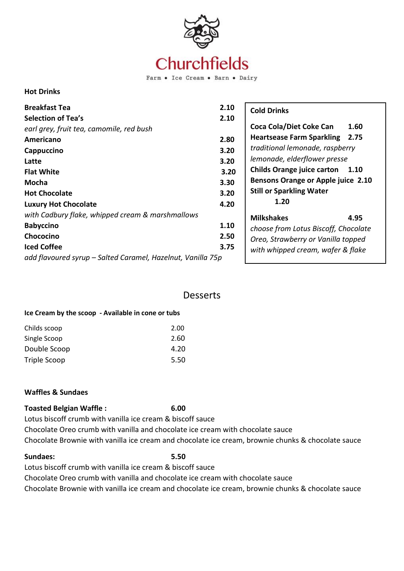

Farm . Ice Cream . Barn . Dairy

### **Hot Drinks**

| <b>Breakfast Tea</b><br><b>Selection of Tea's</b><br>earl grey, fruit tea, camomile, red bush<br>Americano<br>Cappuccino<br>Latte<br><b>Flat White</b><br>Mocha<br><b>Hot Chocolate</b><br><b>Luxury Hot Chocolate</b> | 2.10<br>2.10<br>2.80<br>3.20<br>3.20<br>3.20<br>3.30<br>3.20<br>4.20 | <b>Cold Drinks</b><br>Coca Cola/Diet Coke Can<br>1.60<br>2.75<br><b>Heartsease Farm Sparkling</b><br>traditional lemonade, raspberry<br>lemonade, elderflower presse<br><b>Childs Orange juice carton</b><br>1.10<br><b>Bensons Orange or Apple juice 2.10</b><br><b>Still or Sparkling Water</b><br>1.20 |
|------------------------------------------------------------------------------------------------------------------------------------------------------------------------------------------------------------------------|----------------------------------------------------------------------|-----------------------------------------------------------------------------------------------------------------------------------------------------------------------------------------------------------------------------------------------------------------------------------------------------------|
| with Cadbury flake, whipped cream & marshmallows<br><b>Babyccino</b><br>Chococino<br><b>Iced Coffee</b><br>add flavoured syrup – Salted Caramel, Hazelnut, Vanilla 75p                                                 | 1.10<br>2.50<br>3.75                                                 | <b>Milkshakes</b><br>4.95<br>choose from Lotus Biscoff, Chocolate<br>Oreo, Strawberry or Vanilla topped<br>with whipped cream, wafer & flake                                                                                                                                                              |

## Desserts

### **Ice Cream by the scoop - Available in cone or tubs**

| Childs scoop | 2.00 |
|--------------|------|
| Single Scoop | 2.60 |
| Double Scoop | 4.20 |
| Triple Scoop | 5.50 |

### **Waffles & Sundaes**

### **Toasted Belgian Waffle : 6.00**

Lotus biscoff crumb with vanilla ice cream & biscoff sauce

Chocolate Oreo crumb with vanilla and chocolate ice cream with chocolate sauce Chocolate Brownie with vanilla ice cream and chocolate ice cream, brownie chunks & chocolate sauce

## **Sundaes: 5.50**

Lotus biscoff crumb with vanilla ice cream & biscoff sauce

Chocolate Oreo crumb with vanilla and chocolate ice cream with chocolate sauce

Chocolate Brownie with vanilla ice cream and chocolate ice cream, brownie chunks & chocolate sauce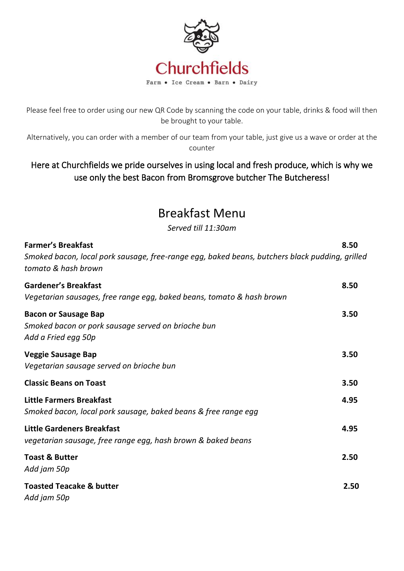

Please feel free to order using our new QR Code by scanning the code on your table, drinks & food will then be brought to your table.

Alternatively, you can order with a member of our team from your table, just give us a wave or order at the counter

## Here at Churchfields we pride ourselves in using local and fresh produce, which is why we use only the best Bacon from Bromsgrove butcher The Butcheress!

# Breakfast Menu

*Served till 11:30am*

| <b>Farmer's Breakfast</b><br>Smoked bacon, local pork sausage, free-range egg, baked beans, butchers black pudding, grilled<br>tomato & hash brown | 8.50 |
|----------------------------------------------------------------------------------------------------------------------------------------------------|------|
| <b>Gardener's Breakfast</b><br>Vegetarian sausages, free range egg, baked beans, tomato & hash brown                                               | 8.50 |
| <b>Bacon or Sausage Bap</b><br>Smoked bacon or pork sausage served on brioche bun<br>Add a Fried egg 50p                                           | 3.50 |
| <b>Veggie Sausage Bap</b><br>Vegetarian sausage served on brioche bun                                                                              | 3.50 |
| <b>Classic Beans on Toast</b>                                                                                                                      | 3.50 |
| <b>Little Farmers Breakfast</b><br>Smoked bacon, local pork sausage, baked beans & free range egg                                                  | 4.95 |
| <b>Little Gardeners Breakfast</b><br>vegetarian sausage, free range egg, hash brown & baked beans                                                  | 4.95 |
| <b>Toast &amp; Butter</b><br>Add jam 50p                                                                                                           | 2.50 |
| <b>Toasted Teacake &amp; butter</b><br>Add jam 50p                                                                                                 | 2.50 |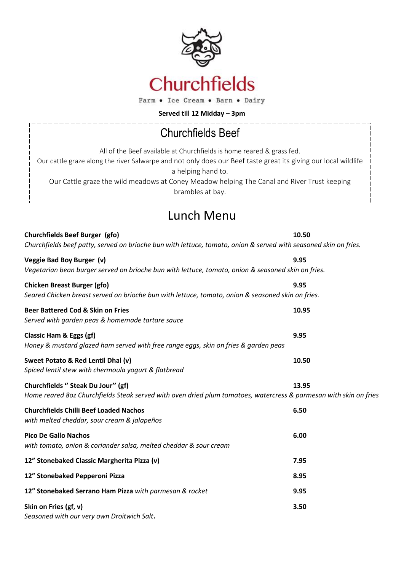

Farm . Ice Cream . Barn . Dairy

**Served till 12 Midday – 3pm**

\_\_\_\_\_\_\_\_\_\_\_\_

# Churchfields Beef

 $\frac{1}{2}$ 

| All of the Beef available at Churchfields is home reared & grass fed.                                          |
|----------------------------------------------------------------------------------------------------------------|
| Our cattle graze along the river Salwarpe and not only does our Beef taste great its giving our local wildlife |
| a helping hand to.                                                                                             |
| Our Cattle graze the wild meadows at Coney Meadow helping The Canal and River Trust keeping                    |
| brambles at bay.                                                                                               |
|                                                                                                                |

## Lunch Menu

**Churchfields Beef Burger (gfo) 10.50**  *Churchfields beef patty, served on brioche bun with lettuce, tomato, onion & served with seasoned skin on fries.* 

| Veggie Bad Boy Burger (v)<br>Vegetarian bean burger served on brioche bun with lettuce, tomato, onion & seasoned skin on fries.                         | 9.95  |
|---------------------------------------------------------------------------------------------------------------------------------------------------------|-------|
| <b>Chicken Breast Burger (gfo)</b><br>Seared Chicken breast served on brioche bun with lettuce, tomato, onion & seasoned skin on fries.                 | 9.95  |
| <b>Beer Battered Cod &amp; Skin on Fries</b><br>Served with garden peas & homemade tartare sauce                                                        | 10.95 |
| Classic Ham & Eggs (gf)<br>Honey & mustard glazed ham served with free range eggs, skin on fries & garden peas                                          | 9.95  |
| Sweet Potato & Red Lentil Dhal (v)<br>Spiced lentil stew with chermoula yogurt & flatbread                                                              | 10.50 |
| Churchfields " Steak Du Jour" (gf)<br>Home reared 8oz Churchfields Steak served with oven dried plum tomatoes, watercress & parmesan with skin on fries | 13.95 |
| <b>Churchfields Chilli Beef Loaded Nachos</b><br>with melted cheddar, sour cream & jalapeños                                                            | 6.50  |
| <b>Pico De Gallo Nachos</b><br>with tomato, onion & coriander salsa, melted cheddar & sour cream                                                        | 6.00  |
| 12" Stonebaked Classic Margherita Pizza (v)                                                                                                             | 7.95  |
| 12" Stonebaked Pepperoni Pizza                                                                                                                          | 8.95  |
| 12" Stonebaked Serrano Ham Pizza with parmesan & rocket                                                                                                 | 9.95  |
| Skin on Fries (gf, v)<br>Seasoned with our very own Droitwich Salt.                                                                                     | 3.50  |